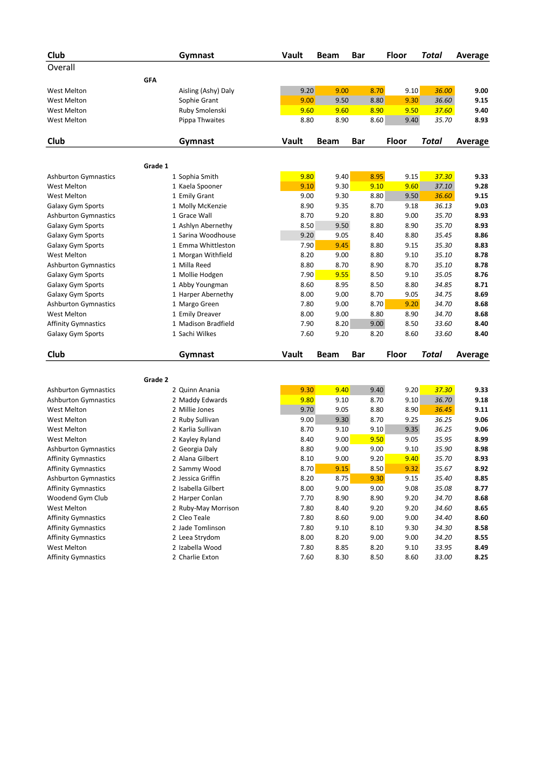| Club                        |            | Gymnast             | Vault | Beam        | <b>Bar</b> | <b>Floor</b> | <b>Total</b> | <b>Average</b> |
|-----------------------------|------------|---------------------|-------|-------------|------------|--------------|--------------|----------------|
| Overall                     |            |                     |       |             |            |              |              |                |
|                             | <b>GFA</b> |                     |       |             |            |              |              |                |
| West Melton                 |            | Aisling (Ashy) Daly | 9.20  | 9.00        | 8.70       | 9.10         | 36.00        | 9.00           |
| <b>West Melton</b>          |            | Sophie Grant        | 9.00  | 9.50        | 8.80       | 9.30         | 36.60        | 9.15           |
| West Melton                 |            | Ruby Smolenski      | 9.60  | 9.60        | 8.90       | 9.50         | 37.60        | 9.40           |
| <b>West Melton</b>          |            | Pippa Thwaites      | 8.80  | 8.90        | 8.60       | 9.40         | 35.70        | 8.93           |
|                             |            |                     |       |             |            |              |              |                |
| Club                        |            | Gymnast             | Vault | Beam        | Bar        | Floor        | <b>Total</b> | <b>Average</b> |
|                             | Grade 1    |                     |       |             |            |              |              |                |
| <b>Ashburton Gymnastics</b> |            | 1 Sophia Smith      | 9.80  | 9.40        | 8.95       | 9.15         | 37.30        | 9.33           |
| <b>West Melton</b>          |            | 1 Kaela Spooner     | 9.10  | 9.30        | 9.10       | 9.60         | 37.10        | 9.28           |
| West Melton                 |            | 1 Emily Grant       | 9.00  | 9.30        | 8.80       | 9.50         | 36.60        | 9.15           |
| Galaxy Gym Sports           |            | 1 Molly McKenzie    | 8.90  | 9.35        | 8.70       | 9.18         | 36.13        | 9.03           |
| <b>Ashburton Gymnastics</b> |            | 1 Grace Wall        | 8.70  | 9.20        | 8.80       | 9.00         | 35.70        | 8.93           |
| Galaxy Gym Sports           |            | 1 Ashlyn Abernethy  | 8.50  | 9.50        | 8.80       | 8.90         | 35.70        | 8.93           |
| Galaxy Gym Sports           |            | 1 Sarina Woodhouse  | 9.20  | 9.05        | 8.40       | 8.80         | 35.45        | 8.86           |
| Galaxy Gym Sports           |            | 1 Emma Whittleston  | 7.90  | 9.45        | 8.80       | 9.15         | 35.30        | 8.83           |
| <b>West Melton</b>          |            | 1 Morgan Withfield  | 8.20  | 9.00        | 8.80       | 9.10         | 35.10        | 8.78           |
| <b>Ashburton Gymnastics</b> |            | 1 Milla Reed        | 8.80  | 8.70        | 8.90       | 8.70         | 35.10        | 8.78           |
| Galaxy Gym Sports           |            | 1 Mollie Hodgen     | 7.90  | 9.55        | 8.50       | 9.10         | 35.05        | 8.76           |
| Galaxy Gym Sports           |            | 1 Abby Youngman     | 8.60  | 8.95        | 8.50       | 8.80         | 34.85        | 8.71           |
| Galaxy Gym Sports           |            | 1 Harper Abernethy  | 8.00  | 9.00        | 8.70       | 9.05         | 34.75        | 8.69           |
| <b>Ashburton Gymnastics</b> |            | 1 Margo Green       | 7.80  | 9.00        | 8.70       | 9.20         | 34.70        | 8.68           |
| West Melton                 |            | 1 Emily Dreaver     | 8.00  | 9.00        | 8.80       | 8.90         | 34.70        | 8.68           |
| <b>Affinity Gymnastics</b>  |            | 1 Madison Bradfield | 7.90  | 8.20        | 9.00       | 8.50         | 33.60        | 8.40           |
| Galaxy Gym Sports           |            | 1 Sachi Wilkes      | 7.60  | 9.20        | 8.20       | 8.60         | 33.60        | 8.40           |
|                             |            |                     |       |             |            |              |              |                |
| Club                        |            | Gymnast             | Vault | <b>Beam</b> | <b>Bar</b> | Floor        | <b>Total</b> | Average        |
|                             |            |                     |       |             |            |              |              |                |
|                             | Grade 2    |                     |       |             |            |              |              |                |
| Ashburton Gymnastics        |            | 2 Quinn Anania      | 9.30  | 9.40        | 9.40       | 9.20         | 37.30        | 9.33           |
| <b>Ashburton Gymnastics</b> |            | 2 Maddy Edwards     | 9.80  | 9.10        | 8.70       | 9.10         | 36.70        | 9.18           |
| <b>West Melton</b>          |            | 2 Millie Jones      | 9.70  | 9.05        | 8.80       | 8.90         | 36.45        | 9.11           |
| West Melton                 |            | 2 Ruby Sullivan     | 9.00  | 9.30        | 8.70       | 9.25         | 36.25        | 9.06           |
| <b>West Melton</b>          |            | 2 Karlia Sullivan   | 8.70  | 9.10        | 9.10       | 9.35         | 36.25        | 9.06           |
| <b>West Melton</b>          |            | 2 Kayley Ryland     | 8.40  | 9.00        | 9.50       | 9.05         | 35.95        | 8.99           |
| <b>Ashburton Gymnastics</b> |            | 2 Georgia Daly      | 8.80  | 9.00        | 9.00       | 9.10         | 35.90        | 8.98           |
| <b>Affinity Gymnastics</b>  |            | 2 Alana Gilbert     | 8.10  | 9.00        | 9.20       | 9.40         | 35.70        | 8.93           |
| <b>Affinity Gymnastics</b>  |            | 2 Sammy Wood        | 8.70  | 9.15        | 8.50       | 9.32         | 35.67        | 8.92           |
| <b>Ashburton Gymnastics</b> |            | 2 Jessica Griffin   | 8.20  | 8.75        | 9.30       | 9.15         | 35.40        | 8.85           |
| <b>Affinity Gymnastics</b>  |            | 2 Isabella Gilbert  | 8.00  | 9.00        | 9.00       | 9.08         | 35.08        | 8.77           |
| Woodend Gym Club            |            | 2 Harper Conlan     | 7.70  | 8.90        | 8.90       | 9.20         | 34.70        | 8.68           |
| West Melton                 |            | 2 Ruby-May Morrison | 7.80  | 8.40        | 9.20       | 9.20         | 34.60        | 8.65           |
| <b>Affinity Gymnastics</b>  |            | 2 Cleo Teale        | 7.80  | 8.60        | 9.00       | 9.00         | 34.40        | 8.60           |
| <b>Affinity Gymnastics</b>  |            | 2 Jade Tomlinson    | 7.80  | 9.10        | 8.10       | 9.30         | 34.30        | 8.58           |
| <b>Affinity Gymnastics</b>  |            | 2 Leea Strydom      | 8.00  | 8.20        | 9.00       | 9.00         | 34.20        | 8.55           |
| West Melton                 |            | 2 Izabella Wood     | 7.80  | 8.85        | 8.20       | 9.10         | 33.95        | 8.49           |
| <b>Affinity Gymnastics</b>  |            | 2 Charlie Exton     | 7.60  | 8.30        | 8.50       | 8.60         | 33.00        | 8.25           |
|                             |            |                     |       |             |            |              |              |                |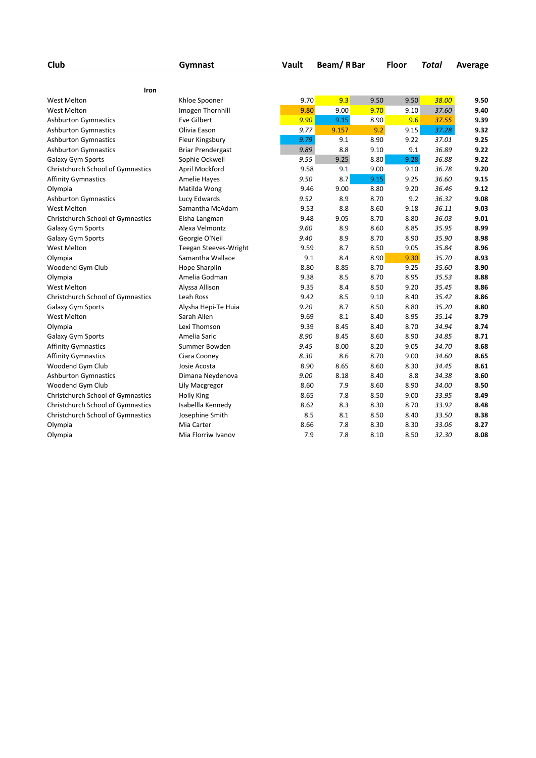| Club                              | Gymnast                      | Vault | Beam/RBar |      | <b>Floor</b> | Total | Average |
|-----------------------------------|------------------------------|-------|-----------|------|--------------|-------|---------|
|                                   |                              |       |           |      |              |       |         |
| Iron                              |                              |       |           |      |              |       |         |
| <b>West Melton</b>                | Khloe Spooner                | 9.70  | 9.3       | 9.50 | 9.50         | 38.00 | 9.50    |
| <b>West Melton</b>                | Imogen Thornhill             | 9.80  | 9.00      | 9.70 | 9.10         | 37.60 | 9.40    |
| <b>Ashburton Gymnastics</b>       | Eve Gilbert                  | 9.90  | 9.15      | 8.90 | 9.6          | 37.55 | 9.39    |
| <b>Ashburton Gymnastics</b>       | Olivia Eason                 | 9.77  | 9.157     | 9.2  | 9.15         | 37.28 | 9.32    |
| <b>Ashburton Gymnastics</b>       | Fleur Kingsbury              | 9.79  | 9.1       | 8.90 | 9.22         | 37.01 | 9.25    |
| <b>Ashburton Gymnastics</b>       | <b>Briar Prendergast</b>     | 9.89  | 8.8       | 9.10 | 9.1          | 36.89 | 9.22    |
| <b>Galaxy Gym Sports</b>          | Sophie Ockwell               | 9.55  | 9.25      | 8.80 | 9.28         | 36.88 | 9.22    |
| Christchurch School of Gymnastics | April Mockford               | 9.58  | 9.1       | 9.00 | 9.10         | 36.78 | 9.20    |
| <b>Affinity Gymnastics</b>        | Amelie Hayes                 | 9.50  | 8.7       | 9.15 | 9.25         | 36.60 | 9.15    |
| Olympia                           | Matilda Wong                 | 9.46  | 9.00      | 8.80 | 9.20         | 36.46 | 9.12    |
| <b>Ashburton Gymnastics</b>       | Lucy Edwards                 | 9.52  | 8.9       | 8.70 | 9.2          | 36.32 | 9.08    |
| <b>West Melton</b>                | Samantha McAdam              | 9.53  | 8.8       | 8.60 | 9.18         | 36.11 | 9.03    |
| Christchurch School of Gymnastics | Elsha Langman                | 9.48  | 9.05      | 8.70 | 8.80         | 36.03 | 9.01    |
| Galaxy Gym Sports                 | Alexa Velmontz               | 9.60  | 8.9       | 8.60 | 8.85         | 35.95 | 8.99    |
| Galaxy Gym Sports                 | Georgie O'Neil               | 9.40  | 8.9       | 8.70 | 8.90         | 35.90 | 8.98    |
| <b>West Melton</b>                | <b>Teegan Steeves-Wright</b> | 9.59  | 8.7       | 8.50 | 9.05         | 35.84 | 8.96    |
| Olympia                           | Samantha Wallace             | 9.1   | 8.4       | 8.90 | 9.30         | 35.70 | 8.93    |
| Woodend Gym Club                  | Hope Sharplin                | 8.80  | 8.85      | 8.70 | 9.25         | 35.60 | 8.90    |
| Olympia                           | Amelia Godman                | 9.38  | 8.5       | 8.70 | 8.95         | 35.53 | 8.88    |
| <b>West Melton</b>                | Alyssa Allison               | 9.35  | 8.4       | 8.50 | 9.20         | 35.45 | 8.86    |
| Christchurch School of Gymnastics | Leah Ross                    | 9.42  | 8.5       | 9.10 | 8.40         | 35.42 | 8.86    |
| Galaxy Gym Sports                 | Alysha Hepi-Te Huia          | 9.20  | 8.7       | 8.50 | 8.80         | 35.20 | 8.80    |
| <b>West Melton</b>                | Sarah Allen                  | 9.69  | 8.1       | 8.40 | 8.95         | 35.14 | 8.79    |
| Olympia                           | Lexi Thomson                 | 9.39  | 8.45      | 8.40 | 8.70         | 34.94 | 8.74    |
| Galaxy Gym Sports                 | Amelia Saric                 | 8.90  | 8.45      | 8.60 | 8.90         | 34.85 | 8.71    |
| <b>Affinity Gymnastics</b>        | Summer Bowden                | 9.45  | 8.00      | 8.20 | 9.05         | 34.70 | 8.68    |
| <b>Affinity Gymnastics</b>        | Ciara Cooney                 | 8.30  | 8.6       | 8.70 | 9.00         | 34.60 | 8.65    |
| Woodend Gym Club                  | Josie Acosta                 | 8.90  | 8.65      | 8.60 | 8.30         | 34.45 | 8.61    |
| <b>Ashburton Gymnastics</b>       | Dimana Neydenova             | 9.00  | 8.18      | 8.40 | 8.8          | 34.38 | 8.60    |
| Woodend Gym Club                  | Lily Macgregor               | 8.60  | 7.9       | 8.60 | 8.90         | 34.00 | 8.50    |
| Christchurch School of Gymnastics | <b>Holly King</b>            | 8.65  | 7.8       | 8.50 | 9.00         | 33.95 | 8.49    |
| Christchurch School of Gymnastics | Isabellla Kennedy            | 8.62  | 8.3       | 8.30 | 8.70         | 33.92 | 8.48    |
| Christchurch School of Gymnastics | Josephine Smith              | 8.5   | 8.1       | 8.50 | 8.40         | 33.50 | 8.38    |
| Olympia                           | Mia Carter                   | 8.66  | 7.8       | 8.30 | 8.30         | 33.06 | 8.27    |
| Olympia                           | Mia Florriw Ivanov           | 7.9   | 7.8       | 8.10 | 8.50         | 32.30 | 8.08    |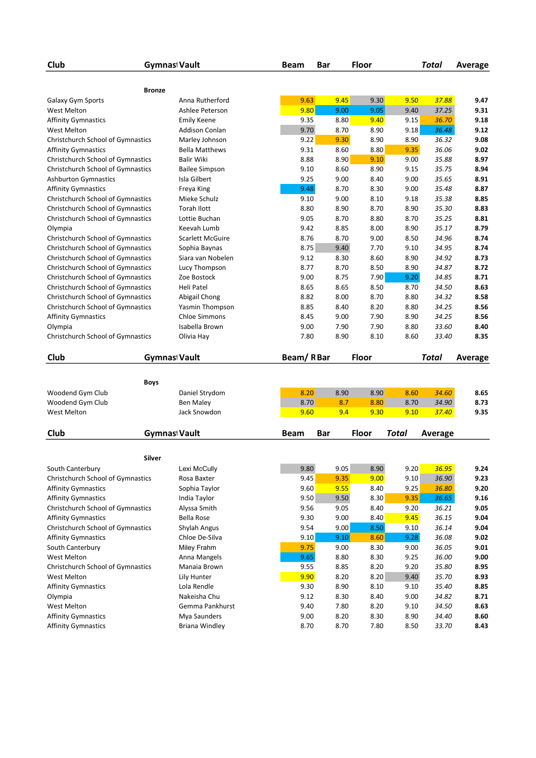| <b>Bronze</b><br>9.63<br>9.45<br>Galaxy Gym Sports<br>Anna Rutherford<br>9.30<br>9.50<br>37.88<br>9.47<br>9.80<br>9.00<br>9.05<br>9.40<br>37.25<br>9.31<br>West Melton<br>Ashlee Peterson<br>8.80<br>9.40<br>9.15<br>9.18<br><b>Affinity Gymnastics</b><br>9.35<br>36.70<br>Emily Keene<br>9.70<br>9.18<br>36.48<br>9.12<br><b>West Melton</b><br><b>Addison Conlan</b><br>8.70<br>8.90<br>9.22<br>9.30<br>8.90<br>8.90<br>36.32<br>9.08<br>Christchurch School of Gymnastics<br>Marley Johnson<br>8.80<br>9.35<br>36.06<br>9.02<br><b>Bella Matthews</b><br>9.31<br>8.60<br><b>Affinity Gymnastics</b><br>8.90<br>9.10<br>Christchurch School of Gymnastics<br>Balir Wiki<br>8.88<br>9.00<br>35.88<br>8.97<br>9.10<br>8.60<br>8.90<br>9.15<br>35.75<br>8.94<br>Christchurch School of Gymnastics<br><b>Bailee Simpson</b><br>9.25<br>9.00<br>9.00<br>35.65<br>8.91<br><b>Ashburton Gymnastics</b><br>Isla Gilbert<br>8.40<br>9.48<br>8.70<br>8.30<br>9.00<br>35.48<br>8.87<br><b>Affinity Gymnastics</b><br>Freya King<br>Christchurch School of Gymnastics<br>Mieke Schulz<br>9.10<br>9.00<br>8.10<br>9.18<br>35.38<br>8.85<br>8.80<br>8.90<br>8.70<br>8.90<br>35.30<br>8.83<br>Christchurch School of Gymnastics<br><b>Torah Ilott</b><br>Christchurch School of Gymnastics<br>Lottie Buchan<br>9.05<br>8.70<br>8.80<br>8.70<br>35.25<br>8.81<br>35.17<br>8.79<br>Keevah Lumb<br>9.42<br>8.85<br>8.00<br>8.90<br>Olympia<br>Scarlett McGuire<br>8.70<br>9.00<br>8.50<br>34.96<br>8.74<br>Christchurch School of Gymnastics<br>8.76<br>8.75<br>9.40<br>Christchurch School of Gymnastics<br>7.70<br>9.10<br>34.95<br>8.74<br>Sophia Baynas<br>Christchurch School of Gymnastics<br>Siara van Nobelen<br>9.12<br>8.30<br>8.60<br>8.90<br>34.92<br>8.73<br>8.70<br>8.50<br>Christchurch School of Gymnastics<br>Lucy Thompson<br>8.77<br>8.90<br>34.87<br>8.72<br>9.00<br>8.75<br>7.90<br>8.71<br>Christchurch School of Gymnastics<br>Zoe Bostock<br>9.20<br>34.85<br>8.65<br>8.50<br>8.70<br>34.50<br>8.63<br>Christchurch School of Gymnastics<br>Heli Patel<br>8.65<br>34.32<br>8.58<br>Christchurch School of Gymnastics<br>Abigail Chong<br>8.82<br>8.00<br>8.70<br>8.80<br>8.20<br>8.56<br>Christchurch School of Gymnastics<br>Yasmin Thompson<br>8.85<br>8.40<br>8.80<br>34.25<br><b>Chloe Simmons</b><br>7.90<br>34.25<br>8.56<br><b>Affinity Gymnastics</b><br>8.45<br>9.00<br>8.90<br>Olympia<br>Isabella Brown<br>9.00<br>7.90<br>7.90<br>8.80<br>33.60<br>8.40<br>Christchurch School of Gymnastics<br>Olivia Hay<br>7.80<br>8.90<br>8.10<br>8.60<br>33.40<br>8.35<br>Beam/RBar<br>Club<br><b>Gymnas Vault</b><br>Floor<br><b>Total</b><br>Average<br><b>Boys</b><br>34.60<br>Woodend Gym Club<br>Daniel Strydom<br>8.20<br>8.90<br>8.90<br>8.60<br>8.65<br>8.70<br>8.7<br>8.80<br>8.70<br>Woodend Gym Club<br><b>Ben Maley</b><br>34.90<br>8.73<br><b>West Melton</b><br>Jack Snowdon<br>9.60<br>9.35<br>9.4<br>9.30<br>9.10<br>37.40<br>Club<br><b>Floor</b><br><b>Gymnas Vault</b><br>Bar<br>Total<br><b>Beam</b><br>Average<br>Silver<br>9.80<br>9.05<br>8.90<br>36.95<br>South Canterbury<br>Lexi McCully<br>9.20<br>9.24<br>9.10<br>Christchurch School of Gymnastics<br>9.45<br>9.35<br>9.00<br>36.90<br>9.23<br>Rosa Baxter<br>9.60<br>9.55<br>8.40<br>9.25<br>36.80<br>9.20<br><b>Affinity Gymnastics</b><br>Sophia Taylor<br>9.50<br>9.50<br>8.30<br>9.35<br>36.65<br>9.16<br><b>Affinity Gymnastics</b><br>India Taylor<br>9.05<br>Christchurch School of Gymnastics<br>Alyssa Smith<br>9.56<br>9.05<br>8.40<br>9.20<br>36.21<br>9.30<br>9.00<br>8.40<br>9.45<br>36.15<br>9.04<br><b>Affinity Gymnastics</b><br><b>Bella Rose</b><br>9.00<br>Christchurch School of Gymnastics<br>Shylah Angus<br>9.54<br>8.50<br>9.10<br>36.14<br>9.04<br>9.10<br>8.60<br>9.02<br><b>Affinity Gymnastics</b><br>Chloe De-Silva<br>9.10<br>9.28<br>36.08<br>9.75<br>36.05<br>9.01<br>South Canterbury<br><b>Miley Frahm</b><br>9.00<br>8.30<br>9.00<br>9.65<br>8.80<br>8.30<br>36.00<br>9.00<br>West Melton<br>Anna Mangels<br>9.25<br>8.95<br>Christchurch School of Gymnastics<br>Manaia Brown<br>9.55<br>8.85<br>8.20<br>9.20<br>35.80<br>8.20<br>9.90<br>8.20<br>9.40<br>35.70<br>8.93<br>West Melton<br>Lily Hunter<br>Lola Rendle<br>9.30<br>8.90<br>8.10<br>35.40<br><b>Affinity Gymnastics</b><br>9.10<br>8.85<br>8.71<br>Olympia<br>Nakeisha Chu<br>9.12<br>8.30<br>8.40<br>9.00<br>34.82<br>8.63<br>West Melton<br>Gemma Pankhurst<br>9.40<br>7.80<br>8.20<br>9.10<br>34.50<br>8.20<br>8.30<br>8.90<br><b>Affinity Gymnastics</b><br>Mya Saunders<br>9.00<br>34.40<br>8.60<br>8.70<br>8.70<br>7.80<br>33.70<br>8.43<br><b>Affinity Gymnastics</b><br><b>Briana Windley</b><br>8.50 | Club<br><b>Gymnas Vault</b> |  | <b>Beam</b> | Bar | <b>Floor</b> | Total |  | <b>Average</b> |
|-------------------------------------------------------------------------------------------------------------------------------------------------------------------------------------------------------------------------------------------------------------------------------------------------------------------------------------------------------------------------------------------------------------------------------------------------------------------------------------------------------------------------------------------------------------------------------------------------------------------------------------------------------------------------------------------------------------------------------------------------------------------------------------------------------------------------------------------------------------------------------------------------------------------------------------------------------------------------------------------------------------------------------------------------------------------------------------------------------------------------------------------------------------------------------------------------------------------------------------------------------------------------------------------------------------------------------------------------------------------------------------------------------------------------------------------------------------------------------------------------------------------------------------------------------------------------------------------------------------------------------------------------------------------------------------------------------------------------------------------------------------------------------------------------------------------------------------------------------------------------------------------------------------------------------------------------------------------------------------------------------------------------------------------------------------------------------------------------------------------------------------------------------------------------------------------------------------------------------------------------------------------------------------------------------------------------------------------------------------------------------------------------------------------------------------------------------------------------------------------------------------------------------------------------------------------------------------------------------------------------------------------------------------------------------------------------------------------------------------------------------------------------------------------------------------------------------------------------------------------------------------------------------------------------------------------------------------------------------------------------------------------------------------------------------------------------------------------------------------------------------------------------------------------------------------------------------------------------------------------------------------------------------------------------------------------------------------------------------------------------------------------------------------------------------------------------------------------------------------------------------------------------------------------------------------------------------------------------------------------------------------------------------------------------------------------------------------------------------------------------------------------------------------------------------------------------------------------------------------------------------------------------------------------------------------------------------------------------------------------------------------------------------------------------------------------------------------------------------------------------------------------------------------------------------------------------------------------------------------------------------------------------------------------------------------------------------------------------------------------------------------------------------------------------------------------------------------------------------------------------------------------------------------------------------------------------------------------------------------------------------------------------------------------------------------------------------|-----------------------------|--|-------------|-----|--------------|-------|--|----------------|
|                                                                                                                                                                                                                                                                                                                                                                                                                                                                                                                                                                                                                                                                                                                                                                                                                                                                                                                                                                                                                                                                                                                                                                                                                                                                                                                                                                                                                                                                                                                                                                                                                                                                                                                                                                                                                                                                                                                                                                                                                                                                                                                                                                                                                                                                                                                                                                                                                                                                                                                                                                                                                                                                                                                                                                                                                                                                                                                                                                                                                                                                                                                                                                                                                                                                                                                                                                                                                                                                                                                                                                                                                                                                                                                                                                                                                                                                                                                                                                                                                                                                                                                                                                                                                                                                                                                                                                                                                                                                                                                                                                                                                                                                                                       |                             |  |             |     |              |       |  |                |
|                                                                                                                                                                                                                                                                                                                                                                                                                                                                                                                                                                                                                                                                                                                                                                                                                                                                                                                                                                                                                                                                                                                                                                                                                                                                                                                                                                                                                                                                                                                                                                                                                                                                                                                                                                                                                                                                                                                                                                                                                                                                                                                                                                                                                                                                                                                                                                                                                                                                                                                                                                                                                                                                                                                                                                                                                                                                                                                                                                                                                                                                                                                                                                                                                                                                                                                                                                                                                                                                                                                                                                                                                                                                                                                                                                                                                                                                                                                                                                                                                                                                                                                                                                                                                                                                                                                                                                                                                                                                                                                                                                                                                                                                                                       |                             |  |             |     |              |       |  |                |
|                                                                                                                                                                                                                                                                                                                                                                                                                                                                                                                                                                                                                                                                                                                                                                                                                                                                                                                                                                                                                                                                                                                                                                                                                                                                                                                                                                                                                                                                                                                                                                                                                                                                                                                                                                                                                                                                                                                                                                                                                                                                                                                                                                                                                                                                                                                                                                                                                                                                                                                                                                                                                                                                                                                                                                                                                                                                                                                                                                                                                                                                                                                                                                                                                                                                                                                                                                                                                                                                                                                                                                                                                                                                                                                                                                                                                                                                                                                                                                                                                                                                                                                                                                                                                                                                                                                                                                                                                                                                                                                                                                                                                                                                                                       |                             |  |             |     |              |       |  |                |
|                                                                                                                                                                                                                                                                                                                                                                                                                                                                                                                                                                                                                                                                                                                                                                                                                                                                                                                                                                                                                                                                                                                                                                                                                                                                                                                                                                                                                                                                                                                                                                                                                                                                                                                                                                                                                                                                                                                                                                                                                                                                                                                                                                                                                                                                                                                                                                                                                                                                                                                                                                                                                                                                                                                                                                                                                                                                                                                                                                                                                                                                                                                                                                                                                                                                                                                                                                                                                                                                                                                                                                                                                                                                                                                                                                                                                                                                                                                                                                                                                                                                                                                                                                                                                                                                                                                                                                                                                                                                                                                                                                                                                                                                                                       |                             |  |             |     |              |       |  |                |
|                                                                                                                                                                                                                                                                                                                                                                                                                                                                                                                                                                                                                                                                                                                                                                                                                                                                                                                                                                                                                                                                                                                                                                                                                                                                                                                                                                                                                                                                                                                                                                                                                                                                                                                                                                                                                                                                                                                                                                                                                                                                                                                                                                                                                                                                                                                                                                                                                                                                                                                                                                                                                                                                                                                                                                                                                                                                                                                                                                                                                                                                                                                                                                                                                                                                                                                                                                                                                                                                                                                                                                                                                                                                                                                                                                                                                                                                                                                                                                                                                                                                                                                                                                                                                                                                                                                                                                                                                                                                                                                                                                                                                                                                                                       |                             |  |             |     |              |       |  |                |
|                                                                                                                                                                                                                                                                                                                                                                                                                                                                                                                                                                                                                                                                                                                                                                                                                                                                                                                                                                                                                                                                                                                                                                                                                                                                                                                                                                                                                                                                                                                                                                                                                                                                                                                                                                                                                                                                                                                                                                                                                                                                                                                                                                                                                                                                                                                                                                                                                                                                                                                                                                                                                                                                                                                                                                                                                                                                                                                                                                                                                                                                                                                                                                                                                                                                                                                                                                                                                                                                                                                                                                                                                                                                                                                                                                                                                                                                                                                                                                                                                                                                                                                                                                                                                                                                                                                                                                                                                                                                                                                                                                                                                                                                                                       |                             |  |             |     |              |       |  |                |
|                                                                                                                                                                                                                                                                                                                                                                                                                                                                                                                                                                                                                                                                                                                                                                                                                                                                                                                                                                                                                                                                                                                                                                                                                                                                                                                                                                                                                                                                                                                                                                                                                                                                                                                                                                                                                                                                                                                                                                                                                                                                                                                                                                                                                                                                                                                                                                                                                                                                                                                                                                                                                                                                                                                                                                                                                                                                                                                                                                                                                                                                                                                                                                                                                                                                                                                                                                                                                                                                                                                                                                                                                                                                                                                                                                                                                                                                                                                                                                                                                                                                                                                                                                                                                                                                                                                                                                                                                                                                                                                                                                                                                                                                                                       |                             |  |             |     |              |       |  |                |
|                                                                                                                                                                                                                                                                                                                                                                                                                                                                                                                                                                                                                                                                                                                                                                                                                                                                                                                                                                                                                                                                                                                                                                                                                                                                                                                                                                                                                                                                                                                                                                                                                                                                                                                                                                                                                                                                                                                                                                                                                                                                                                                                                                                                                                                                                                                                                                                                                                                                                                                                                                                                                                                                                                                                                                                                                                                                                                                                                                                                                                                                                                                                                                                                                                                                                                                                                                                                                                                                                                                                                                                                                                                                                                                                                                                                                                                                                                                                                                                                                                                                                                                                                                                                                                                                                                                                                                                                                                                                                                                                                                                                                                                                                                       |                             |  |             |     |              |       |  |                |
|                                                                                                                                                                                                                                                                                                                                                                                                                                                                                                                                                                                                                                                                                                                                                                                                                                                                                                                                                                                                                                                                                                                                                                                                                                                                                                                                                                                                                                                                                                                                                                                                                                                                                                                                                                                                                                                                                                                                                                                                                                                                                                                                                                                                                                                                                                                                                                                                                                                                                                                                                                                                                                                                                                                                                                                                                                                                                                                                                                                                                                                                                                                                                                                                                                                                                                                                                                                                                                                                                                                                                                                                                                                                                                                                                                                                                                                                                                                                                                                                                                                                                                                                                                                                                                                                                                                                                                                                                                                                                                                                                                                                                                                                                                       |                             |  |             |     |              |       |  |                |
|                                                                                                                                                                                                                                                                                                                                                                                                                                                                                                                                                                                                                                                                                                                                                                                                                                                                                                                                                                                                                                                                                                                                                                                                                                                                                                                                                                                                                                                                                                                                                                                                                                                                                                                                                                                                                                                                                                                                                                                                                                                                                                                                                                                                                                                                                                                                                                                                                                                                                                                                                                                                                                                                                                                                                                                                                                                                                                                                                                                                                                                                                                                                                                                                                                                                                                                                                                                                                                                                                                                                                                                                                                                                                                                                                                                                                                                                                                                                                                                                                                                                                                                                                                                                                                                                                                                                                                                                                                                                                                                                                                                                                                                                                                       |                             |  |             |     |              |       |  |                |
|                                                                                                                                                                                                                                                                                                                                                                                                                                                                                                                                                                                                                                                                                                                                                                                                                                                                                                                                                                                                                                                                                                                                                                                                                                                                                                                                                                                                                                                                                                                                                                                                                                                                                                                                                                                                                                                                                                                                                                                                                                                                                                                                                                                                                                                                                                                                                                                                                                                                                                                                                                                                                                                                                                                                                                                                                                                                                                                                                                                                                                                                                                                                                                                                                                                                                                                                                                                                                                                                                                                                                                                                                                                                                                                                                                                                                                                                                                                                                                                                                                                                                                                                                                                                                                                                                                                                                                                                                                                                                                                                                                                                                                                                                                       |                             |  |             |     |              |       |  |                |
|                                                                                                                                                                                                                                                                                                                                                                                                                                                                                                                                                                                                                                                                                                                                                                                                                                                                                                                                                                                                                                                                                                                                                                                                                                                                                                                                                                                                                                                                                                                                                                                                                                                                                                                                                                                                                                                                                                                                                                                                                                                                                                                                                                                                                                                                                                                                                                                                                                                                                                                                                                                                                                                                                                                                                                                                                                                                                                                                                                                                                                                                                                                                                                                                                                                                                                                                                                                                                                                                                                                                                                                                                                                                                                                                                                                                                                                                                                                                                                                                                                                                                                                                                                                                                                                                                                                                                                                                                                                                                                                                                                                                                                                                                                       |                             |  |             |     |              |       |  |                |
|                                                                                                                                                                                                                                                                                                                                                                                                                                                                                                                                                                                                                                                                                                                                                                                                                                                                                                                                                                                                                                                                                                                                                                                                                                                                                                                                                                                                                                                                                                                                                                                                                                                                                                                                                                                                                                                                                                                                                                                                                                                                                                                                                                                                                                                                                                                                                                                                                                                                                                                                                                                                                                                                                                                                                                                                                                                                                                                                                                                                                                                                                                                                                                                                                                                                                                                                                                                                                                                                                                                                                                                                                                                                                                                                                                                                                                                                                                                                                                                                                                                                                                                                                                                                                                                                                                                                                                                                                                                                                                                                                                                                                                                                                                       |                             |  |             |     |              |       |  |                |
|                                                                                                                                                                                                                                                                                                                                                                                                                                                                                                                                                                                                                                                                                                                                                                                                                                                                                                                                                                                                                                                                                                                                                                                                                                                                                                                                                                                                                                                                                                                                                                                                                                                                                                                                                                                                                                                                                                                                                                                                                                                                                                                                                                                                                                                                                                                                                                                                                                                                                                                                                                                                                                                                                                                                                                                                                                                                                                                                                                                                                                                                                                                                                                                                                                                                                                                                                                                                                                                                                                                                                                                                                                                                                                                                                                                                                                                                                                                                                                                                                                                                                                                                                                                                                                                                                                                                                                                                                                                                                                                                                                                                                                                                                                       |                             |  |             |     |              |       |  |                |
|                                                                                                                                                                                                                                                                                                                                                                                                                                                                                                                                                                                                                                                                                                                                                                                                                                                                                                                                                                                                                                                                                                                                                                                                                                                                                                                                                                                                                                                                                                                                                                                                                                                                                                                                                                                                                                                                                                                                                                                                                                                                                                                                                                                                                                                                                                                                                                                                                                                                                                                                                                                                                                                                                                                                                                                                                                                                                                                                                                                                                                                                                                                                                                                                                                                                                                                                                                                                                                                                                                                                                                                                                                                                                                                                                                                                                                                                                                                                                                                                                                                                                                                                                                                                                                                                                                                                                                                                                                                                                                                                                                                                                                                                                                       |                             |  |             |     |              |       |  |                |
|                                                                                                                                                                                                                                                                                                                                                                                                                                                                                                                                                                                                                                                                                                                                                                                                                                                                                                                                                                                                                                                                                                                                                                                                                                                                                                                                                                                                                                                                                                                                                                                                                                                                                                                                                                                                                                                                                                                                                                                                                                                                                                                                                                                                                                                                                                                                                                                                                                                                                                                                                                                                                                                                                                                                                                                                                                                                                                                                                                                                                                                                                                                                                                                                                                                                                                                                                                                                                                                                                                                                                                                                                                                                                                                                                                                                                                                                                                                                                                                                                                                                                                                                                                                                                                                                                                                                                                                                                                                                                                                                                                                                                                                                                                       |                             |  |             |     |              |       |  |                |
|                                                                                                                                                                                                                                                                                                                                                                                                                                                                                                                                                                                                                                                                                                                                                                                                                                                                                                                                                                                                                                                                                                                                                                                                                                                                                                                                                                                                                                                                                                                                                                                                                                                                                                                                                                                                                                                                                                                                                                                                                                                                                                                                                                                                                                                                                                                                                                                                                                                                                                                                                                                                                                                                                                                                                                                                                                                                                                                                                                                                                                                                                                                                                                                                                                                                                                                                                                                                                                                                                                                                                                                                                                                                                                                                                                                                                                                                                                                                                                                                                                                                                                                                                                                                                                                                                                                                                                                                                                                                                                                                                                                                                                                                                                       |                             |  |             |     |              |       |  |                |
|                                                                                                                                                                                                                                                                                                                                                                                                                                                                                                                                                                                                                                                                                                                                                                                                                                                                                                                                                                                                                                                                                                                                                                                                                                                                                                                                                                                                                                                                                                                                                                                                                                                                                                                                                                                                                                                                                                                                                                                                                                                                                                                                                                                                                                                                                                                                                                                                                                                                                                                                                                                                                                                                                                                                                                                                                                                                                                                                                                                                                                                                                                                                                                                                                                                                                                                                                                                                                                                                                                                                                                                                                                                                                                                                                                                                                                                                                                                                                                                                                                                                                                                                                                                                                                                                                                                                                                                                                                                                                                                                                                                                                                                                                                       |                             |  |             |     |              |       |  |                |
|                                                                                                                                                                                                                                                                                                                                                                                                                                                                                                                                                                                                                                                                                                                                                                                                                                                                                                                                                                                                                                                                                                                                                                                                                                                                                                                                                                                                                                                                                                                                                                                                                                                                                                                                                                                                                                                                                                                                                                                                                                                                                                                                                                                                                                                                                                                                                                                                                                                                                                                                                                                                                                                                                                                                                                                                                                                                                                                                                                                                                                                                                                                                                                                                                                                                                                                                                                                                                                                                                                                                                                                                                                                                                                                                                                                                                                                                                                                                                                                                                                                                                                                                                                                                                                                                                                                                                                                                                                                                                                                                                                                                                                                                                                       |                             |  |             |     |              |       |  |                |
|                                                                                                                                                                                                                                                                                                                                                                                                                                                                                                                                                                                                                                                                                                                                                                                                                                                                                                                                                                                                                                                                                                                                                                                                                                                                                                                                                                                                                                                                                                                                                                                                                                                                                                                                                                                                                                                                                                                                                                                                                                                                                                                                                                                                                                                                                                                                                                                                                                                                                                                                                                                                                                                                                                                                                                                                                                                                                                                                                                                                                                                                                                                                                                                                                                                                                                                                                                                                                                                                                                                                                                                                                                                                                                                                                                                                                                                                                                                                                                                                                                                                                                                                                                                                                                                                                                                                                                                                                                                                                                                                                                                                                                                                                                       |                             |  |             |     |              |       |  |                |
|                                                                                                                                                                                                                                                                                                                                                                                                                                                                                                                                                                                                                                                                                                                                                                                                                                                                                                                                                                                                                                                                                                                                                                                                                                                                                                                                                                                                                                                                                                                                                                                                                                                                                                                                                                                                                                                                                                                                                                                                                                                                                                                                                                                                                                                                                                                                                                                                                                                                                                                                                                                                                                                                                                                                                                                                                                                                                                                                                                                                                                                                                                                                                                                                                                                                                                                                                                                                                                                                                                                                                                                                                                                                                                                                                                                                                                                                                                                                                                                                                                                                                                                                                                                                                                                                                                                                                                                                                                                                                                                                                                                                                                                                                                       |                             |  |             |     |              |       |  |                |
|                                                                                                                                                                                                                                                                                                                                                                                                                                                                                                                                                                                                                                                                                                                                                                                                                                                                                                                                                                                                                                                                                                                                                                                                                                                                                                                                                                                                                                                                                                                                                                                                                                                                                                                                                                                                                                                                                                                                                                                                                                                                                                                                                                                                                                                                                                                                                                                                                                                                                                                                                                                                                                                                                                                                                                                                                                                                                                                                                                                                                                                                                                                                                                                                                                                                                                                                                                                                                                                                                                                                                                                                                                                                                                                                                                                                                                                                                                                                                                                                                                                                                                                                                                                                                                                                                                                                                                                                                                                                                                                                                                                                                                                                                                       |                             |  |             |     |              |       |  |                |
|                                                                                                                                                                                                                                                                                                                                                                                                                                                                                                                                                                                                                                                                                                                                                                                                                                                                                                                                                                                                                                                                                                                                                                                                                                                                                                                                                                                                                                                                                                                                                                                                                                                                                                                                                                                                                                                                                                                                                                                                                                                                                                                                                                                                                                                                                                                                                                                                                                                                                                                                                                                                                                                                                                                                                                                                                                                                                                                                                                                                                                                                                                                                                                                                                                                                                                                                                                                                                                                                                                                                                                                                                                                                                                                                                                                                                                                                                                                                                                                                                                                                                                                                                                                                                                                                                                                                                                                                                                                                                                                                                                                                                                                                                                       |                             |  |             |     |              |       |  |                |
|                                                                                                                                                                                                                                                                                                                                                                                                                                                                                                                                                                                                                                                                                                                                                                                                                                                                                                                                                                                                                                                                                                                                                                                                                                                                                                                                                                                                                                                                                                                                                                                                                                                                                                                                                                                                                                                                                                                                                                                                                                                                                                                                                                                                                                                                                                                                                                                                                                                                                                                                                                                                                                                                                                                                                                                                                                                                                                                                                                                                                                                                                                                                                                                                                                                                                                                                                                                                                                                                                                                                                                                                                                                                                                                                                                                                                                                                                                                                                                                                                                                                                                                                                                                                                                                                                                                                                                                                                                                                                                                                                                                                                                                                                                       |                             |  |             |     |              |       |  |                |
|                                                                                                                                                                                                                                                                                                                                                                                                                                                                                                                                                                                                                                                                                                                                                                                                                                                                                                                                                                                                                                                                                                                                                                                                                                                                                                                                                                                                                                                                                                                                                                                                                                                                                                                                                                                                                                                                                                                                                                                                                                                                                                                                                                                                                                                                                                                                                                                                                                                                                                                                                                                                                                                                                                                                                                                                                                                                                                                                                                                                                                                                                                                                                                                                                                                                                                                                                                                                                                                                                                                                                                                                                                                                                                                                                                                                                                                                                                                                                                                                                                                                                                                                                                                                                                                                                                                                                                                                                                                                                                                                                                                                                                                                                                       |                             |  |             |     |              |       |  |                |
|                                                                                                                                                                                                                                                                                                                                                                                                                                                                                                                                                                                                                                                                                                                                                                                                                                                                                                                                                                                                                                                                                                                                                                                                                                                                                                                                                                                                                                                                                                                                                                                                                                                                                                                                                                                                                                                                                                                                                                                                                                                                                                                                                                                                                                                                                                                                                                                                                                                                                                                                                                                                                                                                                                                                                                                                                                                                                                                                                                                                                                                                                                                                                                                                                                                                                                                                                                                                                                                                                                                                                                                                                                                                                                                                                                                                                                                                                                                                                                                                                                                                                                                                                                                                                                                                                                                                                                                                                                                                                                                                                                                                                                                                                                       |                             |  |             |     |              |       |  |                |
|                                                                                                                                                                                                                                                                                                                                                                                                                                                                                                                                                                                                                                                                                                                                                                                                                                                                                                                                                                                                                                                                                                                                                                                                                                                                                                                                                                                                                                                                                                                                                                                                                                                                                                                                                                                                                                                                                                                                                                                                                                                                                                                                                                                                                                                                                                                                                                                                                                                                                                                                                                                                                                                                                                                                                                                                                                                                                                                                                                                                                                                                                                                                                                                                                                                                                                                                                                                                                                                                                                                                                                                                                                                                                                                                                                                                                                                                                                                                                                                                                                                                                                                                                                                                                                                                                                                                                                                                                                                                                                                                                                                                                                                                                                       |                             |  |             |     |              |       |  |                |
|                                                                                                                                                                                                                                                                                                                                                                                                                                                                                                                                                                                                                                                                                                                                                                                                                                                                                                                                                                                                                                                                                                                                                                                                                                                                                                                                                                                                                                                                                                                                                                                                                                                                                                                                                                                                                                                                                                                                                                                                                                                                                                                                                                                                                                                                                                                                                                                                                                                                                                                                                                                                                                                                                                                                                                                                                                                                                                                                                                                                                                                                                                                                                                                                                                                                                                                                                                                                                                                                                                                                                                                                                                                                                                                                                                                                                                                                                                                                                                                                                                                                                                                                                                                                                                                                                                                                                                                                                                                                                                                                                                                                                                                                                                       |                             |  |             |     |              |       |  |                |
|                                                                                                                                                                                                                                                                                                                                                                                                                                                                                                                                                                                                                                                                                                                                                                                                                                                                                                                                                                                                                                                                                                                                                                                                                                                                                                                                                                                                                                                                                                                                                                                                                                                                                                                                                                                                                                                                                                                                                                                                                                                                                                                                                                                                                                                                                                                                                                                                                                                                                                                                                                                                                                                                                                                                                                                                                                                                                                                                                                                                                                                                                                                                                                                                                                                                                                                                                                                                                                                                                                                                                                                                                                                                                                                                                                                                                                                                                                                                                                                                                                                                                                                                                                                                                                                                                                                                                                                                                                                                                                                                                                                                                                                                                                       |                             |  |             |     |              |       |  |                |
|                                                                                                                                                                                                                                                                                                                                                                                                                                                                                                                                                                                                                                                                                                                                                                                                                                                                                                                                                                                                                                                                                                                                                                                                                                                                                                                                                                                                                                                                                                                                                                                                                                                                                                                                                                                                                                                                                                                                                                                                                                                                                                                                                                                                                                                                                                                                                                                                                                                                                                                                                                                                                                                                                                                                                                                                                                                                                                                                                                                                                                                                                                                                                                                                                                                                                                                                                                                                                                                                                                                                                                                                                                                                                                                                                                                                                                                                                                                                                                                                                                                                                                                                                                                                                                                                                                                                                                                                                                                                                                                                                                                                                                                                                                       |                             |  |             |     |              |       |  |                |
|                                                                                                                                                                                                                                                                                                                                                                                                                                                                                                                                                                                                                                                                                                                                                                                                                                                                                                                                                                                                                                                                                                                                                                                                                                                                                                                                                                                                                                                                                                                                                                                                                                                                                                                                                                                                                                                                                                                                                                                                                                                                                                                                                                                                                                                                                                                                                                                                                                                                                                                                                                                                                                                                                                                                                                                                                                                                                                                                                                                                                                                                                                                                                                                                                                                                                                                                                                                                                                                                                                                                                                                                                                                                                                                                                                                                                                                                                                                                                                                                                                                                                                                                                                                                                                                                                                                                                                                                                                                                                                                                                                                                                                                                                                       |                             |  |             |     |              |       |  |                |
|                                                                                                                                                                                                                                                                                                                                                                                                                                                                                                                                                                                                                                                                                                                                                                                                                                                                                                                                                                                                                                                                                                                                                                                                                                                                                                                                                                                                                                                                                                                                                                                                                                                                                                                                                                                                                                                                                                                                                                                                                                                                                                                                                                                                                                                                                                                                                                                                                                                                                                                                                                                                                                                                                                                                                                                                                                                                                                                                                                                                                                                                                                                                                                                                                                                                                                                                                                                                                                                                                                                                                                                                                                                                                                                                                                                                                                                                                                                                                                                                                                                                                                                                                                                                                                                                                                                                                                                                                                                                                                                                                                                                                                                                                                       |                             |  |             |     |              |       |  |                |
|                                                                                                                                                                                                                                                                                                                                                                                                                                                                                                                                                                                                                                                                                                                                                                                                                                                                                                                                                                                                                                                                                                                                                                                                                                                                                                                                                                                                                                                                                                                                                                                                                                                                                                                                                                                                                                                                                                                                                                                                                                                                                                                                                                                                                                                                                                                                                                                                                                                                                                                                                                                                                                                                                                                                                                                                                                                                                                                                                                                                                                                                                                                                                                                                                                                                                                                                                                                                                                                                                                                                                                                                                                                                                                                                                                                                                                                                                                                                                                                                                                                                                                                                                                                                                                                                                                                                                                                                                                                                                                                                                                                                                                                                                                       |                             |  |             |     |              |       |  |                |
|                                                                                                                                                                                                                                                                                                                                                                                                                                                                                                                                                                                                                                                                                                                                                                                                                                                                                                                                                                                                                                                                                                                                                                                                                                                                                                                                                                                                                                                                                                                                                                                                                                                                                                                                                                                                                                                                                                                                                                                                                                                                                                                                                                                                                                                                                                                                                                                                                                                                                                                                                                                                                                                                                                                                                                                                                                                                                                                                                                                                                                                                                                                                                                                                                                                                                                                                                                                                                                                                                                                                                                                                                                                                                                                                                                                                                                                                                                                                                                                                                                                                                                                                                                                                                                                                                                                                                                                                                                                                                                                                                                                                                                                                                                       |                             |  |             |     |              |       |  |                |
|                                                                                                                                                                                                                                                                                                                                                                                                                                                                                                                                                                                                                                                                                                                                                                                                                                                                                                                                                                                                                                                                                                                                                                                                                                                                                                                                                                                                                                                                                                                                                                                                                                                                                                                                                                                                                                                                                                                                                                                                                                                                                                                                                                                                                                                                                                                                                                                                                                                                                                                                                                                                                                                                                                                                                                                                                                                                                                                                                                                                                                                                                                                                                                                                                                                                                                                                                                                                                                                                                                                                                                                                                                                                                                                                                                                                                                                                                                                                                                                                                                                                                                                                                                                                                                                                                                                                                                                                                                                                                                                                                                                                                                                                                                       |                             |  |             |     |              |       |  |                |
|                                                                                                                                                                                                                                                                                                                                                                                                                                                                                                                                                                                                                                                                                                                                                                                                                                                                                                                                                                                                                                                                                                                                                                                                                                                                                                                                                                                                                                                                                                                                                                                                                                                                                                                                                                                                                                                                                                                                                                                                                                                                                                                                                                                                                                                                                                                                                                                                                                                                                                                                                                                                                                                                                                                                                                                                                                                                                                                                                                                                                                                                                                                                                                                                                                                                                                                                                                                                                                                                                                                                                                                                                                                                                                                                                                                                                                                                                                                                                                                                                                                                                                                                                                                                                                                                                                                                                                                                                                                                                                                                                                                                                                                                                                       |                             |  |             |     |              |       |  |                |
|                                                                                                                                                                                                                                                                                                                                                                                                                                                                                                                                                                                                                                                                                                                                                                                                                                                                                                                                                                                                                                                                                                                                                                                                                                                                                                                                                                                                                                                                                                                                                                                                                                                                                                                                                                                                                                                                                                                                                                                                                                                                                                                                                                                                                                                                                                                                                                                                                                                                                                                                                                                                                                                                                                                                                                                                                                                                                                                                                                                                                                                                                                                                                                                                                                                                                                                                                                                                                                                                                                                                                                                                                                                                                                                                                                                                                                                                                                                                                                                                                                                                                                                                                                                                                                                                                                                                                                                                                                                                                                                                                                                                                                                                                                       |                             |  |             |     |              |       |  |                |
|                                                                                                                                                                                                                                                                                                                                                                                                                                                                                                                                                                                                                                                                                                                                                                                                                                                                                                                                                                                                                                                                                                                                                                                                                                                                                                                                                                                                                                                                                                                                                                                                                                                                                                                                                                                                                                                                                                                                                                                                                                                                                                                                                                                                                                                                                                                                                                                                                                                                                                                                                                                                                                                                                                                                                                                                                                                                                                                                                                                                                                                                                                                                                                                                                                                                                                                                                                                                                                                                                                                                                                                                                                                                                                                                                                                                                                                                                                                                                                                                                                                                                                                                                                                                                                                                                                                                                                                                                                                                                                                                                                                                                                                                                                       |                             |  |             |     |              |       |  |                |
|                                                                                                                                                                                                                                                                                                                                                                                                                                                                                                                                                                                                                                                                                                                                                                                                                                                                                                                                                                                                                                                                                                                                                                                                                                                                                                                                                                                                                                                                                                                                                                                                                                                                                                                                                                                                                                                                                                                                                                                                                                                                                                                                                                                                                                                                                                                                                                                                                                                                                                                                                                                                                                                                                                                                                                                                                                                                                                                                                                                                                                                                                                                                                                                                                                                                                                                                                                                                                                                                                                                                                                                                                                                                                                                                                                                                                                                                                                                                                                                                                                                                                                                                                                                                                                                                                                                                                                                                                                                                                                                                                                                                                                                                                                       |                             |  |             |     |              |       |  |                |
|                                                                                                                                                                                                                                                                                                                                                                                                                                                                                                                                                                                                                                                                                                                                                                                                                                                                                                                                                                                                                                                                                                                                                                                                                                                                                                                                                                                                                                                                                                                                                                                                                                                                                                                                                                                                                                                                                                                                                                                                                                                                                                                                                                                                                                                                                                                                                                                                                                                                                                                                                                                                                                                                                                                                                                                                                                                                                                                                                                                                                                                                                                                                                                                                                                                                                                                                                                                                                                                                                                                                                                                                                                                                                                                                                                                                                                                                                                                                                                                                                                                                                                                                                                                                                                                                                                                                                                                                                                                                                                                                                                                                                                                                                                       |                             |  |             |     |              |       |  |                |
|                                                                                                                                                                                                                                                                                                                                                                                                                                                                                                                                                                                                                                                                                                                                                                                                                                                                                                                                                                                                                                                                                                                                                                                                                                                                                                                                                                                                                                                                                                                                                                                                                                                                                                                                                                                                                                                                                                                                                                                                                                                                                                                                                                                                                                                                                                                                                                                                                                                                                                                                                                                                                                                                                                                                                                                                                                                                                                                                                                                                                                                                                                                                                                                                                                                                                                                                                                                                                                                                                                                                                                                                                                                                                                                                                                                                                                                                                                                                                                                                                                                                                                                                                                                                                                                                                                                                                                                                                                                                                                                                                                                                                                                                                                       |                             |  |             |     |              |       |  |                |
|                                                                                                                                                                                                                                                                                                                                                                                                                                                                                                                                                                                                                                                                                                                                                                                                                                                                                                                                                                                                                                                                                                                                                                                                                                                                                                                                                                                                                                                                                                                                                                                                                                                                                                                                                                                                                                                                                                                                                                                                                                                                                                                                                                                                                                                                                                                                                                                                                                                                                                                                                                                                                                                                                                                                                                                                                                                                                                                                                                                                                                                                                                                                                                                                                                                                                                                                                                                                                                                                                                                                                                                                                                                                                                                                                                                                                                                                                                                                                                                                                                                                                                                                                                                                                                                                                                                                                                                                                                                                                                                                                                                                                                                                                                       |                             |  |             |     |              |       |  |                |
|                                                                                                                                                                                                                                                                                                                                                                                                                                                                                                                                                                                                                                                                                                                                                                                                                                                                                                                                                                                                                                                                                                                                                                                                                                                                                                                                                                                                                                                                                                                                                                                                                                                                                                                                                                                                                                                                                                                                                                                                                                                                                                                                                                                                                                                                                                                                                                                                                                                                                                                                                                                                                                                                                                                                                                                                                                                                                                                                                                                                                                                                                                                                                                                                                                                                                                                                                                                                                                                                                                                                                                                                                                                                                                                                                                                                                                                                                                                                                                                                                                                                                                                                                                                                                                                                                                                                                                                                                                                                                                                                                                                                                                                                                                       |                             |  |             |     |              |       |  |                |
|                                                                                                                                                                                                                                                                                                                                                                                                                                                                                                                                                                                                                                                                                                                                                                                                                                                                                                                                                                                                                                                                                                                                                                                                                                                                                                                                                                                                                                                                                                                                                                                                                                                                                                                                                                                                                                                                                                                                                                                                                                                                                                                                                                                                                                                                                                                                                                                                                                                                                                                                                                                                                                                                                                                                                                                                                                                                                                                                                                                                                                                                                                                                                                                                                                                                                                                                                                                                                                                                                                                                                                                                                                                                                                                                                                                                                                                                                                                                                                                                                                                                                                                                                                                                                                                                                                                                                                                                                                                                                                                                                                                                                                                                                                       |                             |  |             |     |              |       |  |                |
|                                                                                                                                                                                                                                                                                                                                                                                                                                                                                                                                                                                                                                                                                                                                                                                                                                                                                                                                                                                                                                                                                                                                                                                                                                                                                                                                                                                                                                                                                                                                                                                                                                                                                                                                                                                                                                                                                                                                                                                                                                                                                                                                                                                                                                                                                                                                                                                                                                                                                                                                                                                                                                                                                                                                                                                                                                                                                                                                                                                                                                                                                                                                                                                                                                                                                                                                                                                                                                                                                                                                                                                                                                                                                                                                                                                                                                                                                                                                                                                                                                                                                                                                                                                                                                                                                                                                                                                                                                                                                                                                                                                                                                                                                                       |                             |  |             |     |              |       |  |                |
|                                                                                                                                                                                                                                                                                                                                                                                                                                                                                                                                                                                                                                                                                                                                                                                                                                                                                                                                                                                                                                                                                                                                                                                                                                                                                                                                                                                                                                                                                                                                                                                                                                                                                                                                                                                                                                                                                                                                                                                                                                                                                                                                                                                                                                                                                                                                                                                                                                                                                                                                                                                                                                                                                                                                                                                                                                                                                                                                                                                                                                                                                                                                                                                                                                                                                                                                                                                                                                                                                                                                                                                                                                                                                                                                                                                                                                                                                                                                                                                                                                                                                                                                                                                                                                                                                                                                                                                                                                                                                                                                                                                                                                                                                                       |                             |  |             |     |              |       |  |                |
|                                                                                                                                                                                                                                                                                                                                                                                                                                                                                                                                                                                                                                                                                                                                                                                                                                                                                                                                                                                                                                                                                                                                                                                                                                                                                                                                                                                                                                                                                                                                                                                                                                                                                                                                                                                                                                                                                                                                                                                                                                                                                                                                                                                                                                                                                                                                                                                                                                                                                                                                                                                                                                                                                                                                                                                                                                                                                                                                                                                                                                                                                                                                                                                                                                                                                                                                                                                                                                                                                                                                                                                                                                                                                                                                                                                                                                                                                                                                                                                                                                                                                                                                                                                                                                                                                                                                                                                                                                                                                                                                                                                                                                                                                                       |                             |  |             |     |              |       |  |                |
|                                                                                                                                                                                                                                                                                                                                                                                                                                                                                                                                                                                                                                                                                                                                                                                                                                                                                                                                                                                                                                                                                                                                                                                                                                                                                                                                                                                                                                                                                                                                                                                                                                                                                                                                                                                                                                                                                                                                                                                                                                                                                                                                                                                                                                                                                                                                                                                                                                                                                                                                                                                                                                                                                                                                                                                                                                                                                                                                                                                                                                                                                                                                                                                                                                                                                                                                                                                                                                                                                                                                                                                                                                                                                                                                                                                                                                                                                                                                                                                                                                                                                                                                                                                                                                                                                                                                                                                                                                                                                                                                                                                                                                                                                                       |                             |  |             |     |              |       |  |                |
|                                                                                                                                                                                                                                                                                                                                                                                                                                                                                                                                                                                                                                                                                                                                                                                                                                                                                                                                                                                                                                                                                                                                                                                                                                                                                                                                                                                                                                                                                                                                                                                                                                                                                                                                                                                                                                                                                                                                                                                                                                                                                                                                                                                                                                                                                                                                                                                                                                                                                                                                                                                                                                                                                                                                                                                                                                                                                                                                                                                                                                                                                                                                                                                                                                                                                                                                                                                                                                                                                                                                                                                                                                                                                                                                                                                                                                                                                                                                                                                                                                                                                                                                                                                                                                                                                                                                                                                                                                                                                                                                                                                                                                                                                                       |                             |  |             |     |              |       |  |                |
|                                                                                                                                                                                                                                                                                                                                                                                                                                                                                                                                                                                                                                                                                                                                                                                                                                                                                                                                                                                                                                                                                                                                                                                                                                                                                                                                                                                                                                                                                                                                                                                                                                                                                                                                                                                                                                                                                                                                                                                                                                                                                                                                                                                                                                                                                                                                                                                                                                                                                                                                                                                                                                                                                                                                                                                                                                                                                                                                                                                                                                                                                                                                                                                                                                                                                                                                                                                                                                                                                                                                                                                                                                                                                                                                                                                                                                                                                                                                                                                                                                                                                                                                                                                                                                                                                                                                                                                                                                                                                                                                                                                                                                                                                                       |                             |  |             |     |              |       |  |                |
|                                                                                                                                                                                                                                                                                                                                                                                                                                                                                                                                                                                                                                                                                                                                                                                                                                                                                                                                                                                                                                                                                                                                                                                                                                                                                                                                                                                                                                                                                                                                                                                                                                                                                                                                                                                                                                                                                                                                                                                                                                                                                                                                                                                                                                                                                                                                                                                                                                                                                                                                                                                                                                                                                                                                                                                                                                                                                                                                                                                                                                                                                                                                                                                                                                                                                                                                                                                                                                                                                                                                                                                                                                                                                                                                                                                                                                                                                                                                                                                                                                                                                                                                                                                                                                                                                                                                                                                                                                                                                                                                                                                                                                                                                                       |                             |  |             |     |              |       |  |                |
|                                                                                                                                                                                                                                                                                                                                                                                                                                                                                                                                                                                                                                                                                                                                                                                                                                                                                                                                                                                                                                                                                                                                                                                                                                                                                                                                                                                                                                                                                                                                                                                                                                                                                                                                                                                                                                                                                                                                                                                                                                                                                                                                                                                                                                                                                                                                                                                                                                                                                                                                                                                                                                                                                                                                                                                                                                                                                                                                                                                                                                                                                                                                                                                                                                                                                                                                                                                                                                                                                                                                                                                                                                                                                                                                                                                                                                                                                                                                                                                                                                                                                                                                                                                                                                                                                                                                                                                                                                                                                                                                                                                                                                                                                                       |                             |  |             |     |              |       |  |                |